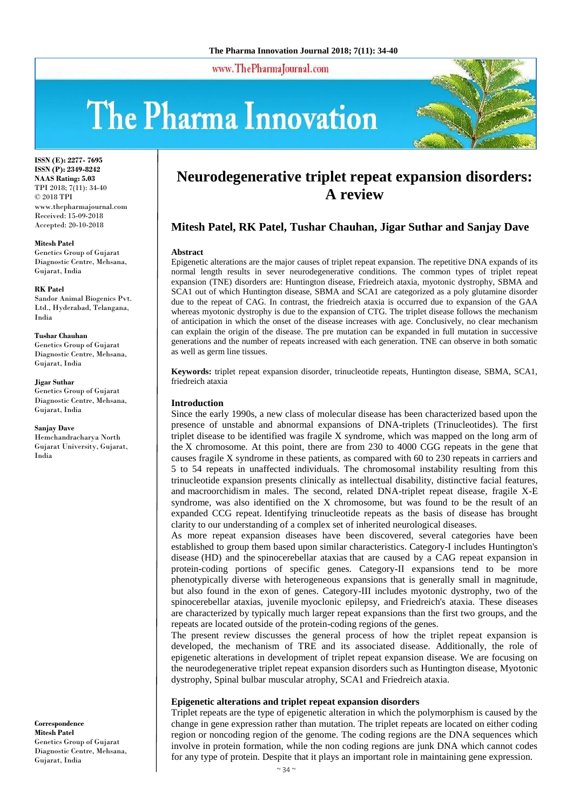www.ThePharmaJournal.com

# The Pharma Innovation



**ISSN (E): 2277- 7695 ISSN (P): 2349-8242 NAAS Rating: 5.03** TPI 2018; 7(11): 34-40 © 2018 TPI www.thepharmajournal.com Received: 15-09-2018 Accepted: 20-10-2018

**Mitesh Patel**

Genetics Group of Gujarat Diagnostic Centre, Mehsana, Gujarat, India

**RK Patel** Sandor Animal Biogenics Pvt. Ltd., Hyderabad, Telangana, India

**Tushar Chauhan** Genetics Group of Gujarat Diagnostic Centre, Mehsana,

Gujarat, India

**Jigar Suthar** Genetics Group of Gujarat Diagnostic Centre, Mehsana, Gujarat, India

**Sanjay Dave** Hemchandracharya North Gujarat University, Gujarat,

India

**Correspondence Mitesh Patel** Genetics Group of Gujarat Diagnostic Centre, Mehsana, Gujarat, India

# **Neurodegenerative triplet repeat expansion disorders: A review**

# **Mitesh Patel, RK Patel, Tushar Chauhan, Jigar Suthar and Sanjay Dave**

#### **Abstract**

Epigenetic alterations are the major causes of triplet repeat expansion. The repetitive DNA expands of its normal length results in sever neurodegenerative conditions. The common types of triplet repeat expansion (TNE) disorders are: Huntington disease, Friedreich ataxia, myotonic dystrophy, SBMA and SCA1 out of which Huntington disease, SBMA and SCA1 are categorized as a poly glutamine disorder due to the repeat of CAG. In contrast, the friedreich ataxia is occurred due to expansion of the GAA whereas myotonic dystrophy is due to the expansion of CTG. The triplet disease follows the mechanism of anticipation in which the onset of the disease increases with age. Conclusively, no clear mechanism can explain the origin of the disease. The pre mutation can be expanded in full mutation in successive generations and the number of repeats increased with each generation. TNE can observe in both somatic as well as germ line tissues.

**Keywords:** triplet repeat expansion disorder, trinucleotide repeats, Huntington disease, SBMA, SCA1, friedreich ataxia

#### **Introduction**

Since the early 1990s, a new class of molecular disease has been characterized based upon the presence of unstable and abnormal expansions of DNA-triplets (Trinucleotides). The first triplet disease to be identified was fragile X syndrome, which was mapped on the long arm of the X chromosome. At this point, there are from 230 to 4000 CGG repeats in the gene that causes fragile X syndrome in these patients, as compared with 60 to 230 repeats in carriers and 5 to 54 repeats in unaffected individuals. The chromosomal instability resulting from this trinucleotide expansion presents clinically as intellectual disability, distinctive facial features, and macroorchidism in males. The second, related DNA-triplet repeat disease, fragile X-E syndrome, was also identified on the X chromosome, but was found to be the result of an expanded CCG repeat. Identifying trinucleotide repeats as the basis of disease has brought clarity to our understanding of a complex set of inherited neurological diseases.

As more repeat expansion diseases have been discovered, several categories have been established to group them based upon similar characteristics. Category-I includes Huntington's disease (HD) and the spinocerebellar ataxias that are caused by a CAG repeat expansion in protein-coding portions of specific genes. Category-II expansions tend to be more phenotypically diverse with heterogeneous expansions that is generally small in magnitude, but also found in the exon of genes. Category-III includes myotonic dystrophy, two of the spinocerebellar ataxias, juvenile myoclonic epilepsy, and Friedreich's ataxia. These diseases are characterized by typically much larger repeat expansions than the first two groups, and the repeats are located outside of the protein-coding regions of the genes.

The present review discusses the general process of how the triplet repeat expansion is developed, the mechanism of TRE and its associated disease. Additionally, the role of epigenetic alterations in development of triplet repeat expansion disease. We are focusing on the neurodegenerative triplet repeat expansion disorders such as Huntington disease, Myotonic dystrophy, Spinal bulbar muscular atrophy, SCA1 and Friedreich ataxia.

#### **Epigenetic alterations and triplet repeat expansion disorders**

Triplet repeats are the type of epigenetic alteration in which the polymorphism is caused by the change in gene expression rather than mutation. The triplet repeats are located on either coding region or noncoding region of the genome. The coding regions are the DNA sequences which involve in protein formation, while the non coding regions are junk DNA which cannot codes for any type of protein. Despite that it plays an important role in maintaining gene expression.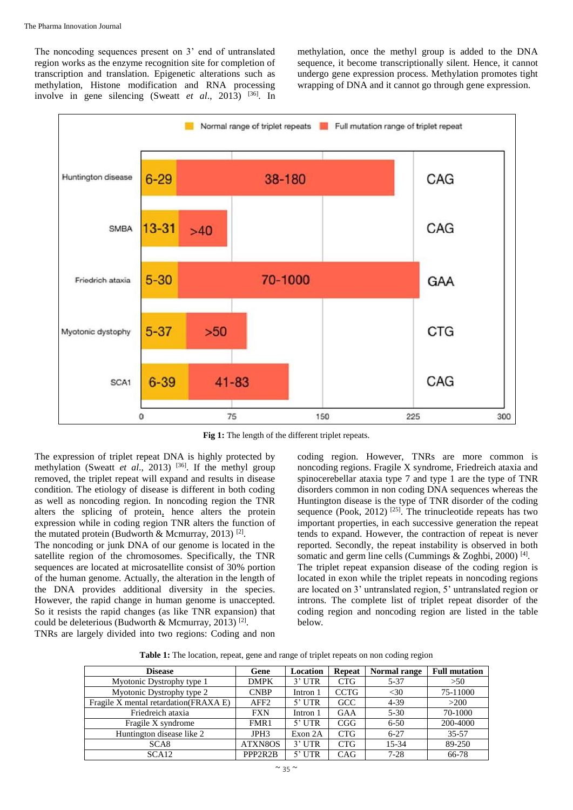The noncoding sequences present on 3' end of untranslated region works as the enzyme recognition site for completion of transcription and translation. Epigenetic alterations such as methylation, Histone modification and RNA processing involve in gene silencing (Sweatt *et al.*, 2013) <sup>[36]</sup>. In methylation, once the methyl group is added to the DNA sequence, it become transcriptionally silent. Hence, it cannot undergo gene expression process. Methylation promotes tight wrapping of DNA and it cannot go through gene expression.



Fig 1: The length of the different triplet repeats.

The expression of triplet repeat DNA is highly protected by methylation (Sweatt *et al.*, 2013)<sup>[36]</sup>. If the methyl group removed, the triplet repeat will expand and results in disease condition. The etiology of disease is different in both coding as well as noncoding region. In noncoding region the TNR alters the splicing of protein, hence alters the protein expression while in coding region TNR alters the function of the mutated protein (Budworth & Mcmurray, 2013)<sup>[2]</sup>.

The noncoding or junk DNA of our genome is located in the satellite region of the chromosomes. Specifically, the TNR sequences are located at microsatellite consist of 30% portion of the human genome. Actually, the alteration in the length of the DNA provides additional diversity in the species. However, the rapid change in human genome is unaccepted. So it resists the rapid changes (as like TNR expansion) that could be deleterious (Budworth & Mcmurray, 2013)<sup>[2]</sup>. TNRs are largely divided into two regions: Coding and non

coding region. However, TNRs are more common is noncoding regions. Fragile X syndrome, Friedreich ataxia and spinocerebellar ataxia type 7 and type 1 are the type of TNR disorders common in non coding DNA sequences whereas the Huntington disease is the type of TNR disorder of the coding sequence (Pook, 2012)  $^{[25]}$ . The trinucleotide repeats has two important properties, in each successive generation the repeat tends to expand. However, the contraction of repeat is never reported. Secondly, the repeat instability is observed in both somatic and germ line cells (Cummings & Zoghbi, 2000)<sup>[4]</sup>. The triplet repeat expansion disease of the coding region is located in exon while the triplet repeats in noncoding regions are located on 3' untranslated region, 5' untranslated region or introns. The complete list of triplet repeat disorder of the coding region and noncoding region are listed in the table below.

**Table 1:** The location, repeat, gene and range of triplet repeats on non coding region

| <b>Disease</b>                         | Gene             | Location | <b>Repeat</b> | Normal range | <b>Full mutation</b> |
|----------------------------------------|------------------|----------|---------------|--------------|----------------------|
| Myotonic Dystrophy type 1              | <b>DMPK</b>      | $3'$ UTR | <b>CTG</b>    | $5 - 37$     | >50                  |
| Myotonic Dystrophy type 2              | <b>CNBP</b>      | Intron 1 | <b>CCTG</b>   | <30          | 75-11000             |
| Fragile X mental retardation (FRAXA E) | AFF <sub>2</sub> | $5'$ UTR | GCC           | $4 - 39$     | >200                 |
| Friedreich ataxia                      | <b>FXN</b>       | Intron 1 | GAA           | $5 - 30$     | 70-1000              |
| Fragile X syndrome                     | FMR1             | $5'$ UTR | CGG           | $6 - 50$     | 200-4000             |
| Huntington disease like 2              | JPH <sub>3</sub> | Exon 2A  | <b>CTG</b>    | $6 - 27$     | $35 - 57$            |
| SCA <sub>8</sub>                       | ATXN8OS          | $3'$ UTR | <b>CTG</b>    | 15-34        | 89-250               |
| SCA <sub>12</sub>                      | PPP2R2B          | $5'$ UTR | CAG           | $7-28$       | 66-78                |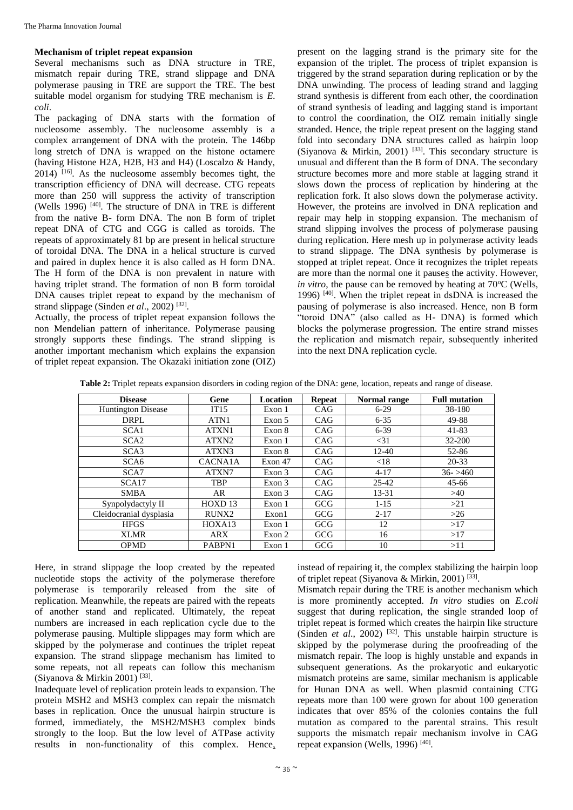#### **Mechanism of triplet repeat expansion**

Several mechanisms such as DNA structure in TRE, mismatch repair during TRE, strand slippage and DNA polymerase pausing in TRE are support the TRE. The best suitable model organism for studying TRE mechanism is *E. coli*.

The packaging of DNA starts with the formation of nucleosome assembly. The nucleosome assembly is a complex arrangement of DNA with the protein. The 146bp long stretch of DNA is wrapped on the histone octamere (having Histone H2A, H2B, H3 and H4) (Loscalzo & Handy, 2014) [16]. As the nucleosome assembly becomes tight, the transcription efficiency of DNA will decrease. CTG repeats more than 250 will suppress the activity of transcription (Wells 1996)  $[40]$ . The structure of DNA in TRE is different from the native B- form DNA. The non B form of triplet repeat DNA of CTG and CGG is called as toroids. The repeats of approximately 81 bp are present in helical structure of toroidal DNA. The DNA in a helical structure is curved and paired in duplex hence it is also called as H form DNA. The H form of the DNA is non prevalent in nature with having triplet strand. The formation of non B form toroidal DNA causes triplet repeat to expand by the mechanism of strand slippage (Sinden *et al.*, 2002)<sup>[32]</sup>.

Actually, the process of triplet repeat expansion follows the non Mendelian pattern of inheritance. Polymerase pausing strongly supports these findings. The strand slipping is another important mechanism which explains the expansion of triplet repeat expansion. The Okazaki initiation zone (OIZ)

present on the lagging strand is the primary site for the expansion of the triplet. The process of triplet expansion is triggered by the strand separation during replication or by the DNA unwinding. The process of leading strand and lagging strand synthesis is different from each other, the coordination of strand synthesis of leading and lagging stand is important to control the coordination, the OIZ remain initially single stranded. Hence, the triple repeat present on the lagging stand fold into secondary DNA structures called as hairpin loop (Siyanova & Mirkin, 2001) <sup>[33]</sup>. This secondary structure is unusual and different than the B form of DNA. The secondary structure becomes more and more stable at lagging strand it slows down the process of replication by hindering at the replication fork. It also slows down the polymerase activity. However, the proteins are involved in DNA replication and repair may help in stopping expansion. The mechanism of strand slipping involves the process of polymerase pausing during replication. Here mesh up in polymerase activity leads to strand slippage. The DNA synthesis by polymerase is stopped at triplet repeat. Once it recognizes the triplet repeats are more than the normal one it pauses the activity. However, *in vitro*, the pause can be removed by heating at  $70^{\circ}$ C (Wells, 1996) [40] . When the triplet repeat in dsDNA is increased the pausing of polymerase is also increased. Hence, non B form "toroid DNA" (also called as H- DNA) is formed which blocks the polymerase progression. The entire strand misses the replication and mismatch repair, subsequently inherited into the next DNA replication cycle.

**Table 2:** Triplet repeats expansion disorders in coding region of the DNA: gene, location, repeats and range of disease.

| <b>Disease</b>            | Gene               | Location | <b>Repeat</b> | Normal range | <b>Full mutation</b> |
|---------------------------|--------------------|----------|---------------|--------------|----------------------|
| <b>Huntington Disease</b> | IT15               | Exon 1   | <b>CAG</b>    | $6 - 29$     | 38-180               |
| DRPL                      | ATN1               | Exon 5   | CAG           | $6 - 35$     | 49-88                |
| SCA <sub>1</sub>          | ATXN1              | Exon 8   | CAG           | $6 - 39$     | 41-83                |
| SCA <sub>2</sub>          | ATXN <sub>2</sub>  | Exon 1   | CAG           | $<$ 31       | 32-200               |
| SCA <sub>3</sub>          | ATXN3              | Exon 8   | CAG           | $12 - 40$    | 52-86                |
| SCA <sub>6</sub>          | <b>CACNA1A</b>     | Exon 47  | CAG           | < 18         | $20 - 33$            |
| SCA7                      | ATXN7              | Exon 3   | CAG           | $4 - 17$     | $36 - 5460$          |
| SCA17                     | <b>TBP</b>         | Exon 3   | CAG           | $25 - 42$    | $45 - 66$            |
| <b>SMBA</b>               | AR                 | Exon 3   | CAG           | 13-31        | >40                  |
| Synpolydactyly II         | HOXD <sub>13</sub> | Exon 1   | <b>GCG</b>    | $1 - 15$     | >21                  |
| Cleidocranial dysplasia   | RUNX2              | Exon1    | <b>GCG</b>    | $2 - 17$     | $>26$                |
| <b>HFGS</b>               | HOXA13             | Exon 1   | <b>GCG</b>    | 12           | >17                  |
| <b>XLMR</b>               | <b>ARX</b>         | Exon 2   | <b>GCG</b>    | 16           | >17                  |
| <b>OPMD</b>               | PABPN1             | Exon 1   | <b>GCG</b>    | 10           | >11                  |

Here, in strand slippage the loop created by the repeated nucleotide stops the activity of the polymerase therefore polymerase is temporarily released from the site of replication. Meanwhile, the repeats are paired with the repeats of another stand and replicated. Ultimately, the repeat numbers are increased in each replication cycle due to the polymerase pausing. Multiple slippages may form which are skipped by the polymerase and continues the triplet repeat expansion. The strand slippage mechanism has limited to some repeats, not all repeats can follow this mechanism (Siyanova & Mirkin 2001)<sup>[33]</sup>.

Inadequate level of replication protein leads to expansion. The protein MSH2 and MSH3 complex can repair the mismatch bases in replication. Once the unusual hairpin structure is formed, immediately, the MSH2/MSH3 complex binds strongly to the loop. But the low level of ATPase activity results in non-functionality of this complex. Hence, instead of repairing it, the complex stabilizing the hairpin loop of triplet repeat (Siyanova & Mirkin, 2001)<sup>[33]</sup>.

Mismatch repair during the TRE is another mechanism which is more prominently accepted. *In vitro* studies on *E.coli* suggest that during replication, the single stranded loop of triplet repeat is formed which creates the hairpin like structure (Sinden *et al.*, 2002)<sup>[32]</sup>. This unstable hairpin structure is skipped by the polymerase during the proofreading of the mismatch repair. The loop is highly unstable and expands in subsequent generations. As the prokaryotic and eukaryotic mismatch proteins are same, similar mechanism is applicable for Hunan DNA as well. When plasmid containing CTG repeats more than 100 were grown for about 100 generation indicates that over 85% of the colonies contains the full mutation as compared to the parental strains. This result supports the mismatch repair mechanism involve in CAG repeat expansion (Wells, 1996)<sup>[40]</sup>.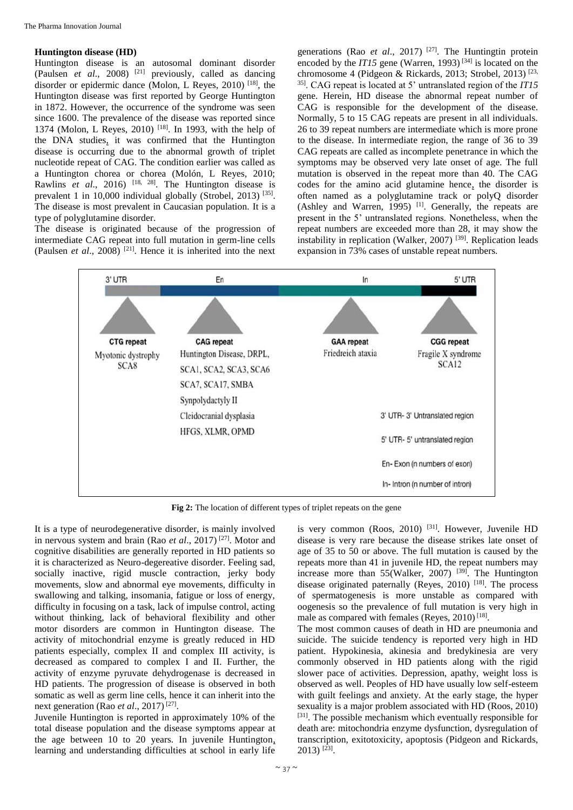#### **Huntington disease (HD)**

Huntington disease is an autosomal dominant disorder (Paulsen *et al*., 2008) [21] previously, called as dancing disorder or epidermic dance (Molon, L Reyes, 2010) [18], the Huntington disease was first reported by George Huntington in 1872. However, the occurrence of the syndrome was seen since 1600. The prevalence of the disease was reported since 1374 (Molon, L Reyes, 2010) [18]. In 1993, with the help of the DNA studies, it was confirmed that the Huntington disease is occurring due to the abnormal growth of triplet nucleotide repeat of CAG. The condition earlier was called as a Huntington chorea or chorea (Molón, L Reyes, 2010; Rawlins *et al*., 2016) [18, 28]. The Huntington disease is prevalent 1 in 10,000 individual globally (Strobel, 2013)<sup>[35]</sup>. The disease is most prevalent in Caucasian population. It is a type of polyglutamine disorder.

The disease is originated because of the progression of intermediate CAG repeat into full mutation in germ-line cells (Paulsen *et al.*, 2008)<sup>[21]</sup>. Hence it is inherited into the next

generations (Rao *et al*., 2017) [27]. The Huntingtin protein encoded by the *IT15* gene (Warren, 1993)<sup>[34]</sup> is located on the chromosome 4 (Pidgeon & Rickards, 2013; Strobel, 2013)<sup>[23,</sup> 35]. CAG repeat is located at 5' untranslated region of the *IT15* gene. Herein, HD disease the abnormal repeat number of CAG is responsible for the development of the disease. Normally, 5 to 15 CAG repeats are present in all individuals. 26 to 39 repeat numbers are intermediate which is more prone to the disease. In intermediate region, the range of 36 to 39 CAG repeats are called as incomplete penetrance in which the symptoms may be observed very late onset of age. The full mutation is observed in the repeat more than 40. The CAG codes for the amino acid glutamine hence, the disorder is often named as a polyglutamine track or polyQ disorder  $(Ashley and Warren, 1995)$ <sup>[1]</sup>. Generally, the repeats are present in the 5' untranslated regions. Nonetheless, when the repeat numbers are exceeded more than 28, it may show the instability in replication (Walker, 2007)<sup>[39]</sup>. Replication leads expansion in 73% cases of unstable repeat numbers.



**Fig 2:** The location of different types of triplet repeats on the gene

It is a type of neurodegenerative disorder, is mainly involved in nervous system and brain (Rao *et al*., 2017) [27]. Motor and cognitive disabilities are generally reported in HD patients so it is characterized as Neuro-degereative disorder. Feeling sad, socially inactive, rigid muscle contraction, jerky body movements, slow and abnormal eye movements, difficulty in swallowing and talking, insomania, fatigue or loss of energy, difficulty in focusing on a task, lack of impulse control, acting without thinking, lack of behavioral flexibility and other motor disorders are common in Huntington disease. The activity of mitochondrial enzyme is greatly reduced in HD patients especially, complex II and complex III activity, is decreased as compared to complex I and II. Further, the activity of enzyme pyruvate dehydrogenase is decreased in HD patients. The progression of disease is observed in both somatic as well as germ line cells, hence it can inherit into the next generation (Rao *et al.*, 2017)<sup>[27]</sup>.

Juvenile Huntington is reported in approximately 10% of the total disease population and the disease symptoms appear at the age between 10 to 20 years. In juvenile Huntington, learning and understanding difficulties at school in early life

is very common (Roos, 2010)<sup>[31]</sup>. However, Juvenile HD disease is very rare because the disease strikes late onset of age of 35 to 50 or above. The full mutation is caused by the repeats more than 41 in juvenile HD, the repeat numbers may increase more than  $55$ (Walker, 2007) <sup>[39]</sup>. The Huntington disease originated paternally (Reyes,  $2010$ ) <sup>[18]</sup>. The process of spermatogenesis is more unstable as compared with oogenesis so the prevalence of full mutation is very high in male as compared with females (Reyes,  $2010$ )<sup>[18]</sup>.

The most common causes of death in HD are pneumonia and suicide. The suicide tendency is reported very high in HD patient. Hypokinesia, akinesia and bredykinesia are very commonly observed in HD patients along with the rigid slower pace of activities. Depression, apathy, weight loss is observed as well. Peoples of HD have usually low self-esteem with guilt feelings and anxiety. At the early stage, the hyper sexuality is a major problem associated with HD (Roos, 2010) [31]. The possible mechanism which eventually responsible for death are: mitochondria enzyme dysfunction, dysregulation of transcription, exitotoxicity, apoptosis (Pidgeon and Rickards,  $2013$ )  $^{[23]}$ .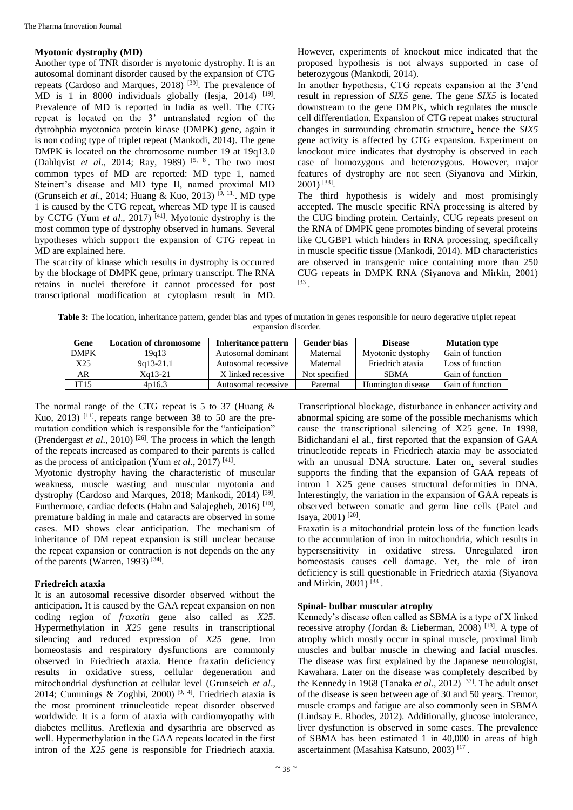# **Myotonic dystrophy (MD)**

Another type of TNR disorder is myotonic dystrophy. It is an autosomal dominant disorder caused by the expansion of CTG repeats (Cardoso and Marques, 2018) [39]. The prevalence of MD is 1 in 8000 individuals globally (lesja, 2014)  $[19]$ . Prevalence of MD is reported in India as well. The CTG repeat is located on the 3' untranslated region of the dytrohphia myotonica protein kinase (DMPK) gene, again it is non coding type of triplet repeat (Mankodi, 2014). The gene DMPK is located on the chromosome number 19 at 19q13.0 (Dahlqvist *et al*., 2014; Ray, 1989) [5, 8]. The two most common types of MD are reported: MD type 1, named Steinert's disease and MD type II, named proximal MD (Grunseich *et al.*, 2014; Huang & Kuo, 2013)<sup>[9, 11]</sup>. MD type 1 is caused by the CTG repeat, whereas MD type II is caused by CCTG (Yum *et al*., 2017) [41]. Myotonic dystrophy is the most common type of dystrophy observed in humans. Several hypotheses which support the expansion of CTG repeat in MD are explained here.

The scarcity of kinase which results in dystrophy is occurred by the blockage of DMPK gene, primary transcript. The RNA retains in nuclei therefore it cannot processed for post transcriptional modification at cytoplasm result in MD.

However, experiments of knockout mice indicated that the proposed hypothesis is not always supported in case of heterozygous (Mankodi, 2014).

In another hypothesis, CTG repeats expansion at the 3'end result in repression of *SIX5* gene. The gene *SIX5* is located downstream to the gene DMPK, which regulates the muscle cell differentiation. Expansion of CTG repeat makes structural changes in surrounding chromatin structure, hence the *SIX5* gene activity is affected by CTG expansion. Experiment on knockout mice indicates that dystrophy is observed in each case of homozygous and heterozygous. However, major features of dystrophy are not seen (Siyanova and Mirkin, 2001) [33] .

The third hypothesis is widely and most promisingly accepted. The muscle specific RNA processing is altered by the CUG binding protein. Certainly, CUG repeats present on the RNA of DMPK gene promotes binding of several proteins like CUGBP1 which hinders in RNA processing, specifically in muscle specific tissue (Mankodi, 2014). MD characteristics are observed in transgenic mice containing more than 250 CUG repeats in DMPK RNA (Siyanova and Mirkin, 2001) [33] .

**Table 3:** The location, inheritance pattern, gender bias and types of mutation in genes responsible for neuro degerative triplet repeat expansion disorder.

| Gene        | <b>Location of chromosome</b> | Inheritance pattern | Gender bias   | <b>Disease</b>     | <b>Mutation type</b> |
|-------------|-------------------------------|---------------------|---------------|--------------------|----------------------|
| <b>DMPK</b> | 19a13                         | Autosomal dominant  | Maternal      | Myotonic dystophy  | Gain of function     |
| X25         | 9q13-21.1                     | Autosomal recessive | Maternal      | Friedrich ataxia   | Loss of function     |
| AR          | Xa13-21                       | X linked recessive  | Not specified | <b>SBMA</b>        | Gain of function     |
| IT15        | 4p16.3                        | Autosomal recessive | Paternal      | Huntington disease | Gain of function     |

The normal range of the CTG repeat is  $5$  to  $37$  (Huang  $\&$ Kuo, 2013) <sup>[11]</sup>, repeats range between 38 to 50 are the premutation condition which is responsible for the "anticipation" (Prendergast *et al.*, 2010) <sup>[26]</sup>. The process in which the length of the repeats increased as compared to their parents is called as the process of anticipation (Yum *et al.*, 2017)<sup>[41]</sup>.

Myotonic dystrophy having the characteristic of muscular weakness, muscle wasting and muscular myotonia and dystrophy (Cardoso and Marques, 2018; Mankodi, 2014)<sup>[39]</sup>. Furthermore, cardiac defects (Hahn and Salajegheh, 2016)<sup>[10]</sup>, premature balding in male and cataracts are observed in some cases. MD shows clear anticipation. The mechanism of inheritance of DM repeat expansion is still unclear because the repeat expansion or contraction is not depends on the any of the parents (Warren, 1993)<sup>[34]</sup>.

# **Friedreich ataxia**

It is an autosomal recessive disorder observed without the anticipation. It is caused by the GAA repeat expansion on non coding region of *fraxatin* gene also called as *X25*. Hypermethylation in *X25* gene results in transcriptional silencing and reduced expression of *X25* gene. Iron homeostasis and respiratory dysfunctions are commonly observed in Friedriech ataxia. Hence fraxatin deficiency results in oxidative stress, cellular degeneration and mitochondrial dysfunction at cellular level (Grunseich *et al*., 2014; Cummings & Zoghbi, 2000)<sup>[9, 4]</sup>. Friedriech ataxia is the most prominent trinucleotide repeat disorder observed worldwide. It is a form of ataxia with cardiomyopathy with diabetes mellitus. Areflexia and dysarthria are observed as well. Hypermethylation in the GAA repeats located in the first intron of the *X25* gene is responsible for Friedriech ataxia.

Transcriptional blockage, disturbance in enhancer activity and abnormal spicing are some of the possible mechanisms which cause the transcriptional silencing of X25 gene. In 1998, Bidichandani el al., first reported that the expansion of GAA trinucleotide repeats in Friedriech ataxia may be associated with an unusual DNA structure. Later on, several studies supports the finding that the expansion of GAA repeats of intron 1 X25 gene causes structural deformities in DNA. Interestingly, the variation in the expansion of GAA repeats is observed between somatic and germ line cells (Patel and Isaya, 2001)<sup>[20]</sup>.

Fraxatin is a mitochondrial protein loss of the function leads to the accumulation of iron in mitochondria, which results in hypersensitivity in oxidative stress. Unregulated iron homeostasis causes cell damage. Yet, the role of iron deficiency is still questionable in Friedriech ataxia (Siyanova and Mirkin, 2001)<sup>[33]</sup>.

# **Spinal- bulbar muscular atrophy**

Kennedy's disease often called as SBMA is a type of X linked recessive atrophy (Jordan & Lieberman, 2008)<sup>[13]</sup>. A type of atrophy which mostly occur in spinal muscle, proximal limb muscles and bulbar muscle in chewing and facial muscles. The disease was first explained by the Japanese neurologist, Kawahara. Later on the disease was completely described by the Kennedy in 1968 (Tanaka *et al*., 2012) [37] . The adult onset of the disease is seen between age of 30 and 50 years. Tremor, muscle cramps and fatigue are also commonly seen in SBMA (Lindsay E. Rhodes, 2012). Additionally, glucose intolerance, liver dysfunction is observed in some cases. The prevalence of SBMA has been estimated 1 in 40,000 in areas of high ascertainment (Masahisa Katsuno, 2003) [17] .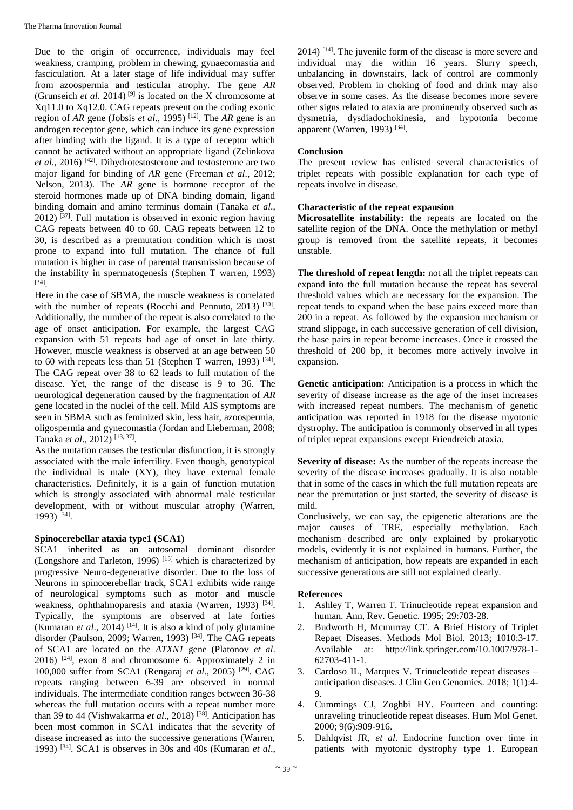Due to the origin of occurrence, individuals may feel weakness, cramping, problem in chewing, gynaecomastia and fasciculation. At a later stage of life individual may suffer from azoospermia and testicular atrophy. The gene *AR*  (Grunseich *et al.* 2014)<sup>[9]</sup> is located on the X chromosome at Xq11.0 to Xq12.0. CAG repeats present on the coding exonic region of *AR* gene (Jobsis *et al.*, 1995) <sup>[12]</sup>. The *AR* gene is an androgen receptor gene, which can induce its gene expression after binding with the ligand. It is a type of receptor which cannot be activated without an appropriate ligand (Zelinkova et al., 2016)<sup>[42]</sup>. Dihydrotestosterone and testosterone are two major ligand for binding of *AR* gene (Freeman *et al*., 2012; Nelson, 2013). The *AR* gene is hormone receptor of the steroid hormones made up of DNA binding domain, ligand binding domain and amino terminus domain (Tanaka *et al*.,  $2012$ ) [37]. Full mutation is observed in exonic region having CAG repeats between 40 to 60. CAG repeats between 12 to 30, is described as a premutation condition which is most prone to expand into full mutation. The chance of full mutation is higher in case of parental transmission because of the instability in spermatogenesis (Stephen T warren, 1993) [34] .

Here in the case of SBMA, the muscle weakness is correlated with the number of repeats (Rocchi and Pennuto, 2013)<sup>[30]</sup>. Additionally, the number of the repeat is also correlated to the age of onset anticipation. For example, the largest CAG expansion with 51 repeats had age of onset in late thirty. However, muscle weakness is observed at an age between 50 to 60 with repeats less than 51 (Stephen T warren, 1993)  $[34]$ . The CAG repeat over 38 to 62 leads to full mutation of the disease. Yet, the range of the disease is 9 to 36. The neurological degeneration caused by the fragmentation of *AR* gene located in the nuclei of the cell. Mild AIS symptoms are seen in SBMA such as feminized skin, less hair, azoospermia, oligospermia and gynecomastia (Jordan and Lieberman, 2008; Tanaka *et al*., 2012) [13, 37] .

As the mutation causes the testicular disfunction, it is strongly associated with the male infertility. Even though, genotypical the individual is male (XY), they have external female characteristics. Definitely, it is a gain of function mutation which is strongly associated with abnormal male testicular development, with or without muscular atrophy (Warren, 1993) [34] .

# **Spinocerebellar ataxia type1 (SCA1)**

SCA1 inherited as an autosomal dominant disorder (Longshore and Tarleton, 1996) [15] which is characterized by progressive Neuro-degenerative disorder. Due to the loss of Neurons in spinocerebellar track, SCA1 exhibits wide range of neurological symptoms such as motor and muscle weakness, ophthalmoparesis and ataxia (Warren, 1993)<sup>[34]</sup>. Typically, the symptoms are observed at late forties (Kumaran *et al.*, 2014)<sup>[14]</sup>. It is also a kind of poly glutamine disorder (Paulson, 2009; Warren, 1993)<sup>[34]</sup>. The CAG repeats of SCA1 are located on the *ATXN1* gene (Platonov *et al*. 2016) [24], exon 8 and chromosome 6. Approximately 2 in 100,000 suffer from SCA1 (Rengaraj *et al*., 2005) [29]. CAG repeats ranging between 6-39 are observed in normal individuals. The intermediate condition ranges between 36-38 whereas the full mutation occurs with a repeat number more than 39 to 44 (Vishwakarma *et al*., 2018) [38]. Anticipation has been most common in SCA1 indicates that the severity of disease increased as into the successive generations (Warren, 1993) [34]. SCA1 is observes in 30s and 40s (Kumaran *et al*.,

 $2014$ )  $^{[14]}$ . The juvenile form of the disease is more severe and individual may die within 16 years. Slurry speech, unbalancing in downstairs, lack of control are commonly observed. Problem in choking of food and drink may also observe in some cases. As the disease becomes more severe other signs related to ataxia are prominently observed such as dysmetria, dysdiadochokinesia, and hypotonia become apparent (Warren, 1993)<sup>[34]</sup>.

#### **Conclusion**

The present review has enlisted several characteristics of triplet repeats with possible explanation for each type of repeats involve in disease.

# **Characteristic of the repeat expansion**

**Microsatellite instability:** the repeats are located on the satellite region of the DNA. Once the methylation or methyl group is removed from the satellite repeats, it becomes unstable.

**The threshold of repeat length:** not all the triplet repeats can expand into the full mutation because the repeat has several threshold values which are necessary for the expansion. The repeat tends to expand when the base pairs exceed more than 200 in a repeat. As followed by the expansion mechanism or strand slippage, in each successive generation of cell division, the base pairs in repeat become increases. Once it crossed the threshold of 200 bp, it becomes more actively involve in expansion.

**Genetic anticipation:** Anticipation is a process in which the severity of disease increase as the age of the inset increases with increased repeat numbers. The mechanism of genetic anticipation was reported in 1918 for the disease myotonic dystrophy. The anticipation is commonly observed in all types of triplet repeat expansions except Friendreich ataxia.

**Severity of disease:** As the number of the repeats increase the severity of the disease increases gradually. It is also notable that in some of the cases in which the full mutation repeats are near the premutation or just started, the severity of disease is mild.

Conclusively, we can say, the epigenetic alterations are the major causes of TRE, especially methylation. Each mechanism described are only explained by prokaryotic models, evidently it is not explained in humans. Further, the mechanism of anticipation, how repeats are expanded in each successive generations are still not explained clearly.

# **References**

- 1. Ashley T, Warren T. Trinucleotide repeat expansion and human. Ann, Rev. Genetic. 1995; 29:703-28.
- 2. Budworth H, Mcmurray CT. A Brief History of Triplet Repaet Diseases. Methods Mol Biol. 2013; 1010:3-17. Available at: http://link.springer.com/10.1007/978-1- 62703-411-1.
- 3. Cardoso IL, Marques V. Trinucleotide repeat diseases anticipation diseases. J Clin Gen Genomics. 2018; 1(1):4- 9.
- 4. Cummings CJ, Zoghbi HY. Fourteen and counting: unraveling trinucleotide repeat diseases. Hum Mol Genet. 2000; 9(6):909-916.
- 5. Dahlqvist JR, *et al*. Endocrine function over time in patients with myotonic dystrophy type 1. European